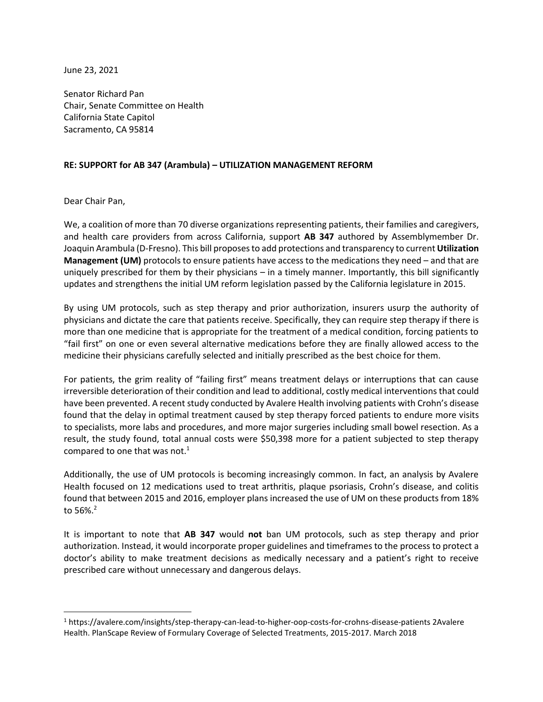June 23, 2021

Senator Richard Pan Chair, Senate Committee on Health California State Capitol Sacramento, CA 95814

## **RE: SUPPORT for AB 347 (Arambula) – UTILIZATION MANAGEMENT REFORM**

Dear Chair Pan,

We, a coalition of more than 70 diverse organizations representing patients, their families and caregivers, and health care providers from across California, support **AB 347** authored by Assemblymember Dr. Joaquin Arambula (D-Fresno). This bill proposes to add protections and transparency to current **Utilization Management (UM)** protocols to ensure patients have access to the medications they need – and that are uniquely prescribed for them by their physicians – in a timely manner. Importantly, this bill significantly updates and strengthens the initial UM reform legislation passed by the California legislature in 2015.

By using UM protocols, such as step therapy and prior authorization, insurers usurp the authority of physicians and dictate the care that patients receive. Specifically, they can require step therapy if there is more than one medicine that is appropriate for the treatment of a medical condition, forcing patients to "fail first" on one or even several alternative medications before they are finally allowed access to the medicine their physicians carefully selected and initially prescribed as the best choice for them.

For patients, the grim reality of "failing first" means treatment delays or interruptions that can cause irreversible deterioration of their condition and lead to additional, costly medical interventions that could have been prevented. A recent study conducted by Avalere Health involving patients with Crohn's disease found that the delay in optimal treatment caused by step therapy forced patients to endure more visits to specialists, more labs and procedures, and more major surgeries including small bowel resection. As a result, the study found, total annual costs were \$50,398 more for a patient subjected to step therapy compared to one that was not. $1$ 

Additionally, the use of UM protocols is becoming increasingly common. In fact, an analysis by Avalere Health focused on 12 medications used to treat arthritis, plaque psoriasis, Crohn's disease, and colitis found that between 2015 and 2016, employer plans increased the use of UM on these products from 18% to  $56\%$ <sup>2</sup>

It is important to note that **AB 347** would **not** ban UM protocols, such as step therapy and prior authorization. Instead, it would incorporate proper guidelines and timeframes to the process to protect a doctor's ability to make treatment decisions as medically necessary and a patient's right to receive prescribed care without unnecessary and dangerous delays.

<sup>1</sup> https://avalere.com/insights/step-therapy-can-lead-to-higher-oop-costs-for-crohns-disease-patients 2Avalere Health. PlanScape Review of Formulary Coverage of Selected Treatments, 2015-2017. March 2018